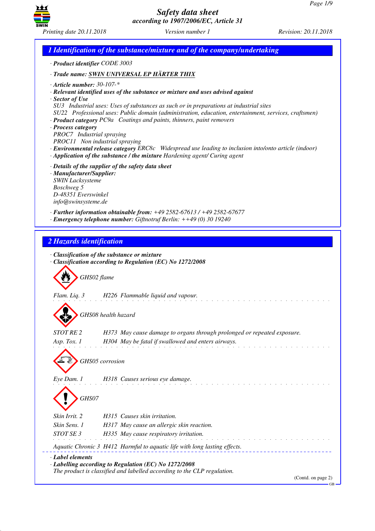

*1 Identification of the substance/mixture and of the company/undertaking · Product identifier CODE 3003 · Trade name: SWIN UNIVERSAL EP HÄRTER THIX · Article number: 30-107-\* · Relevant identified uses of the substance or mixture and uses advised against · Sector of Use SU3 Industrial uses: Uses of substances as such or in preparations at industrial sites SU22 Professional uses: Public domain (administration, education, entertainment, services, craftsmen) · Product category PC9a Coatings and paints, thinners, paint removers · Process category PROC7 Industrial spraying PROC11 Non industrial spraying · Environmental release category ERC8c Widespread use leading to inclusion into/onto article (indoor) · Application of the substance / the mixture Hardening agent/ Curing agent · Details of the supplier of the safety data sheet · Manufacturer/Supplier: SWIN Lacksysteme Boschweg 5 D-48351 Everswinkel info@swinsysteme.de · Further information obtainable from: +49 2582-67613 / +49 2582-67677 · Emergency telephone number: Giftnotruf Berlin: ++49 (0) 30 19240 2 Hazards identification · Classification of the substance or mixture · Classification according to Regulation (EC) No 1272/2008* d~*GHS02 flame Flam. Liq. 3 H226 Flammable liquid and vapour.* d~*GHS08 health hazard STOT RE 2 H373 May cause damage to organs through prolonged or repeated exposure. Asp. Tox. 1 H304 May be fatal if swallowed and enters airways.* d~*GHS05 corrosion Eye Dam. 1 H318 Causes serious eye damage.* d~*GHS07 Skin Irrit. 2 H315 Causes skin irritation. Skin Sens. 1 H317 May cause an allergic skin reaction. STOT SE 3 H335 May cause respiratory irritation. Aquatic Chronic 3 H412 Harmful to aquatic life with long lasting effects. · Label elements · Labelling according to Regulation (EC) No 1272/2008 The product is classified and labelled according to the CLP regulation.* (Contd. on page 2) GB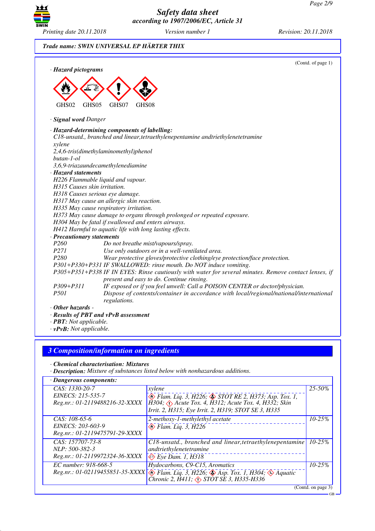

## *Trade name: SWIN UNIVERSAL EP HÄRTER THIX*

| · Hazard pictograms            |                                                                                                                                                                            | (Contd. of page 1) |  |
|--------------------------------|----------------------------------------------------------------------------------------------------------------------------------------------------------------------------|--------------------|--|
|                                |                                                                                                                                                                            |                    |  |
|                                |                                                                                                                                                                            |                    |  |
|                                |                                                                                                                                                                            |                    |  |
|                                |                                                                                                                                                                            |                    |  |
| GHS02<br>GHS05                 | GHS07<br>GHS08                                                                                                                                                             |                    |  |
| · Signal word Danger           |                                                                                                                                                                            |                    |  |
|                                | · Hazard-determining components of labelling:                                                                                                                              |                    |  |
|                                | C18-unsatd., branched and linear, tetraethylenepentamine andtriethylenetetramine                                                                                           |                    |  |
| xylene                         |                                                                                                                                                                            |                    |  |
|                                | 2,4,6-tris(dimethylaminomethyl)phenol                                                                                                                                      |                    |  |
| butan-1-ol                     |                                                                                                                                                                            |                    |  |
|                                | 3,6,9-triazaundecamethylenediamine                                                                                                                                         |                    |  |
| · Hazard statements            |                                                                                                                                                                            |                    |  |
|                                | H226 Flammable liquid and vapour.                                                                                                                                          |                    |  |
| H315 Causes skin irritation.   |                                                                                                                                                                            |                    |  |
|                                | H318 Causes serious eye damage.                                                                                                                                            |                    |  |
|                                | H317 May cause an allergic skin reaction.                                                                                                                                  |                    |  |
|                                | H335 May cause respiratory irritation.                                                                                                                                     |                    |  |
|                                | H373 May cause damage to organs through prolonged or repeated exposure.                                                                                                    |                    |  |
|                                | H304 May be fatal if swallowed and enters airways.                                                                                                                         |                    |  |
|                                | H412 Harmful to aquatic life with long lasting effects.<br>· Precautionary statements                                                                                      |                    |  |
| P <sub>260</sub>               | Do not breathe mist/vapours/spray.                                                                                                                                         |                    |  |
| P271                           | Use only outdoors or in a well-ventilated area.                                                                                                                            |                    |  |
| P280                           | Wear protective gloves/protective clothing/eye protection/face protection.                                                                                                 |                    |  |
|                                |                                                                                                                                                                            |                    |  |
|                                | P301+P330+P331 IF SWALLOWED: rinse mouth. Do NOT induce vomiting.<br>P305+P351+P338 IF IN EYES: Rinse cautiously with water for several minutes. Remove contact lenses, if |                    |  |
|                                | present and easy to do. Continue rinsing.                                                                                                                                  |                    |  |
| $P309 + P311$                  | IF exposed or if you feel unwell: Call a POISON CENTER or doctor/physician.                                                                                                |                    |  |
| P501                           | Dispose of contents/container in accordance with local/regional/national/international                                                                                     |                    |  |
|                                | regulations.                                                                                                                                                               |                    |  |
| $\cdot$ Other hazards -        |                                                                                                                                                                            |                    |  |
|                                | · Results of PBT and vPvB assessment                                                                                                                                       |                    |  |
| · <b>PBT</b> : Not applicable. |                                                                                                                                                                            |                    |  |

*· vPvB: Not applicable.*

## *3 Composition/information on ingredients*

*· Chemical characterisation: Mixtures*

*· Description: Mixture of substances listed below with nonhazardous additions.*

| · Dangerous components:                                                |                                                                                                                                                                                          |                    |
|------------------------------------------------------------------------|------------------------------------------------------------------------------------------------------------------------------------------------------------------------------------------|--------------------|
| CAS: 1330-20-7<br>EINECS: 215-535-7<br>Reg.nr.: 01-2119488216-32-XXXX  | xylene<br>Blam. Liq. 3, H226; STOT RE 2, H373; Asp. Tox. 1,<br>$H304$ ; $\Diamond$ Acute Tox. 4, H312; Acute Tox. 4, H332; Skin<br>Irrit. 2, H315; Eye Irrit. 2, H319; STOT SE 3, H335   | $25 - 50%$         |
| $CAS: 108-65-6$<br>EINECS: 203-603-9<br>Reg.nr.: 01-2119475791-29-XXXX | 2-methoxy-1-methylethyl acetate<br>$\otimes$ Flam. Liq. 3, H226                                                                                                                          | $10 - 25%$         |
| CAS: 157707-73-8<br>NLP: 500-382-3<br>Reg.nr.: 01-2119972324-36-XXXX   | $C18$ -unsatd., branched and linear, tetraethylenepentamine<br>andtriethylenetetramine<br>$\Leftrightarrow$ Eye Dam. 1, H318                                                             | $10 - 25\%$        |
| EC number: 918-668-5<br>Reg.nr.: 01-02119455851-35-XXXX                | Hydocarbons, C9-C15, Aromatics<br>$\circledast$ Flam. Liq. 3, H226; $\circledast$ Asp. Tox. 1, H304; $\circledast$ Aquatic<br>Chronic 2, $\hat{H}411$ ; $\triangle$ STOT SE 3, H335-H336 | $10 - 25%$         |
|                                                                        |                                                                                                                                                                                          | (Contd. on page 3) |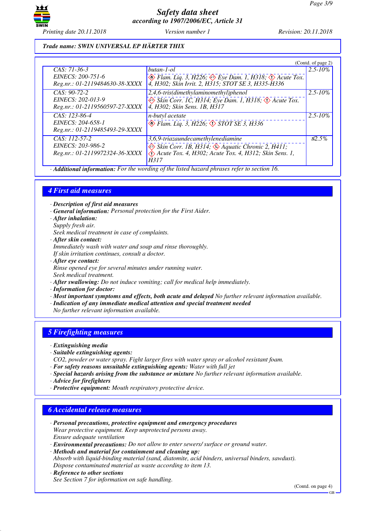

*Printing date 20.11.2018 Version number 1 Revision: 20.11.2018*

#### *Trade name: SWIN UNIVERSAL EP HÄRTER THIX*

|                                                     |                                                                                                                                      | (Contd. of page 2) |
|-----------------------------------------------------|--------------------------------------------------------------------------------------------------------------------------------------|--------------------|
| CAS: 71-36-3                                        | butan-1-ol                                                                                                                           | $2.5 - 10\%$       |
| EINECS: 200-751-6<br>Reg.nr.: 01-2119484630-38-XXXX | $\otimes$ Flam. Liq. 3, H226; $\otimes$ Eye Dam. 1, H318; $\otimes$ Acute Tox.<br>4, H302; Skin Irrit. 2, H315; STOT SE 3, H335-H336 |                    |
| $CAS: 90-72-2$                                      | 2,4,6-tris(dimethylaminomethyl)phenol                                                                                                | $2.5 - 10\%$       |
| EINECS: 202-013-9                                   | $\Leftrightarrow$ Skin Corr. 1C, H314; Eye Dam. 1, H318; $\Leftrightarrow$ Acute Tox.                                                |                    |
| Reg.nr.: 01-2119560597-27-XXXX                      | 4, H302; Skin Sens. 1B, H317                                                                                                         |                    |
| $CAS: 123-86-4$                                     | n-butyl acetate                                                                                                                      | $2.5 - 10\%$       |
| EINECS: 204-658-1                                   | $\circledcirc$ Flam. Liq. 3, H226; $\circledcirc$ STOT SE 3, H336                                                                    |                    |
| Reg.nr.: 01-2119485493-29-XXXX                      |                                                                                                                                      |                    |
| CAS: 112-57-2                                       | 3,6,9-triazaundecamethylenediamine                                                                                                   | $\mathcal{L}2.5\%$ |
| EINECS: 203-986-2                                   | Skin Corr. 1B, H314; Aquatic Chronic 2, H411;                                                                                        |                    |
| Reg.nr.: 01-2119972324-36-XXXX                      | Acute Tox. 4, H302; Acute Tox. 4, H312; Skin Sens. 1,                                                                                |                    |
|                                                     | H317                                                                                                                                 |                    |
| $\cdots$<br>$\sim$ $\sim$<br>$\sqrt{ }$<br>$\cdots$ | $\mathbf{1}$<br>$\sim$ $\sim$<br>0.1 1.1 1<br>$\mathbf{r}$                                                                           |                    |

*· Additional information: For the wording of the listed hazard phrases refer to section 16.*

## *4 First aid measures*

*· Description of first aid measures*

*· General information: Personal protection for the First Aider.*

- *· After inhalation:*
- *Supply fresh air.*

*Seek medical treatment in case of complaints.*

*· After skin contact:*

*Immediately wash with water and soap and rinse thoroughly.*

*If skin irritation continues, consult a doctor.*

*· After eye contact:*

*Rinse opened eye for several minutes under running water.*

*Seek medical treatment.*

- *· After swallowing: Do not induce vomiting; call for medical help immediately.*
- *· Information for doctor:*
- *· Most important symptoms and effects, both acute and delayed No further relevant information available.*
- *· Indication of any immediate medical attention and special treatment needed*

*No further relevant information available.*

## *5 Firefighting measures*

*· Extinguishing media*

- *· Suitable extinguishing agents:*
- *CO2, powder or water spray. Fight larger fires with water spray or alcohol resistant foam.*
- *· For safety reasons unsuitable extinguishing agents: Water with full jet*
- *· Special hazards arising from the substance or mixture No further relevant information available.*
- *· Advice for firefighters*
- *· Protective equipment: Mouth respiratory protective device.*

## *6 Accidental release measures*

- *· Personal precautions, protective equipment and emergency procedures Wear protective equipment. Keep unprotected persons away. Ensure adequate ventilation*
- *· Environmental precautions: Do not allow to enter sewers/ surface or ground water.*

*· Methods and material for containment and cleaning up:*

*Absorb with liquid-binding material (sand, diatomite, acid binders, universal binders, sawdust). Dispose contaminated material as waste according to item 13.*

#### *· Reference to other sections*

*See Section 7 for information on safe handling.*

(Contd. on page 4)

GB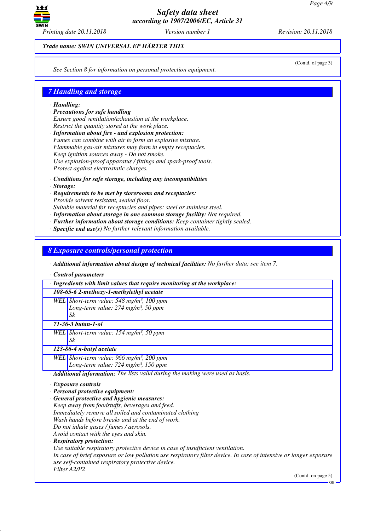

*Trade name: SWIN UNIVERSAL EP HÄRTER THIX*

*See Section 8 for information on personal protection equipment.*

## *7 Handling and storage*

#### *· Handling:*

- *· Precautions for safe handling Ensure good ventilation/exhaustion at the workplace. Restrict the quantity stored at the work place.*
- *· Information about fire and explosion protection: Fumes can combine with air to form an explosive mixture. Flammable gas-air mixtures may form in empty receptacles. Keep ignition sources away - Do not smoke. Use explosion-proof apparatus / fittings and spark-proof tools. Protect against electrostatic charges.*
- *· Conditions for safe storage, including any incompatibilities*
- *· Storage:*
- *· Requirements to be met by storerooms and receptacles: Provide solvent resistant, sealed floor.*

*Suitable material for receptacles and pipes: steel or stainless steel.*

- *· Information about storage in one common storage facility: Not required.*
- *· Further information about storage conditions: Keep container tightly sealed.*
- *· Specific end use(s) No further relevant information available.*

*8 Exposure controls/personal protection*

*· Additional information about design of technical facilities: No further data; see item 7.*

*· Control parameters*

| · Ingredients with limit values that require monitoring at the workplace:                                                                                              |
|------------------------------------------------------------------------------------------------------------------------------------------------------------------------|
| 108-65-6 2-methoxy-1-methylethyl acetate                                                                                                                               |
| WEL Short-term value: 548 mg/m <sup>3</sup> , 100 ppm                                                                                                                  |
| Long-term value: 274 mg/m <sup>3</sup> , 50 ppm                                                                                                                        |
| Sk                                                                                                                                                                     |
| $71 - 36 - 3$ butan-1-ol                                                                                                                                               |
| WEL Short-term value: $154$ mg/m <sup>3</sup> , 50 ppm                                                                                                                 |
| Sk                                                                                                                                                                     |
| 123-86-4 n-butyl acetate                                                                                                                                               |
| WEL Short-term value: 966 mg/m <sup>3</sup> , 200 ppm                                                                                                                  |
| Long-term value: $724$ mg/m <sup>3</sup> , 150 ppm                                                                                                                     |
| · Additional information: The lists valid during the making were used as basis.                                                                                        |
| $\cdot$ Exposure controls                                                                                                                                              |
| · Personal protective equipment:                                                                                                                                       |
| General protective and hygienic measures:                                                                                                                              |
| Keep away from foodstuffs, beverages and feed.                                                                                                                         |
| Immediately remove all soiled and contaminated clothing                                                                                                                |
| Wash hands before breaks and at the end of work.                                                                                                                       |
| Do not inhale gases / fumes / aerosols.                                                                                                                                |
| Avoid contact with the eyes and skin.                                                                                                                                  |
| · Respiratory protection:                                                                                                                                              |
| Use suitable respiratory protective device in case of insufficient ventilation.                                                                                        |
| In case of brief exposure or low pollution use respiratory filter device. In case of intensive or longer exposure<br>use self-contained respiratory protective device. |
| Filter A2/P2<br>(Contd. on page 5)                                                                                                                                     |
| $GB -$                                                                                                                                                                 |

(Contd. of page 3)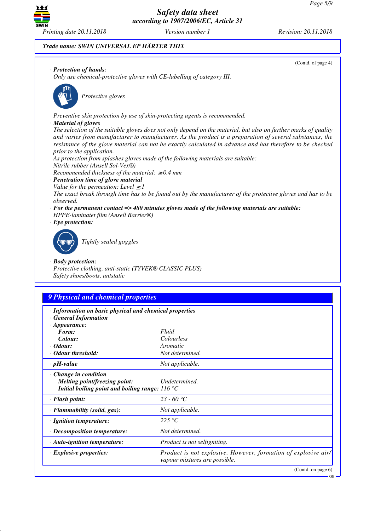

(Contd. of page 4)

*Trade name: SWIN UNIVERSAL EP HÄRTER THIX*

#### *· Protection of hands:*

*Only use chemical-protective gloves with CE-labelling of category III.*



\_S*Protective gloves*

*Preventive skin protection by use of skin-protecting agents is recommended.*

#### *· Material of gloves*

*The selection of the suitable gloves does not only depend on the material, but also on further marks of quality and varies from manufacturer to manufacturer. As the product is a preparation of several substances, the resistance of the glove material can not be exactly calculated in advance and has therefore to be checked prior to the application.*

*As protection from splashes gloves made of the following materials are suitable:*

*Nitrile rubber (Ansell Sol-Vex®)*

*Recommended thickness of the material:* ≥ *0.4 mm*

- *· Penetration time of glove material*
- *Value for the permeation: Level*  $\leq$  *I*

*The exact break through time has to be found out by the manufacturer of the protective gloves and has to be observed.*

- *· For the permanent contact => 480 minutes gloves made of the following materials are suitable: HPPE-laminatet film (Ansell Barrier®)*
- *· Eye protection:*



\_R*Tightly sealed goggles*

#### *· Body protection:*

*Protective clothing, anti-static (TYVEK® CLASSIC PLUS) Safety shoes/boots, antstatic*

## *9 Physical and chemical properties*

- *· Information on basic physical and chemical properties*
- *· General Information*

| $\cdot$ Appearance:                                                 |                                                                                                 |
|---------------------------------------------------------------------|-------------------------------------------------------------------------------------------------|
| Form:                                                               | Fluid                                                                                           |
| Colour:                                                             | <i>Colourless</i>                                                                               |
| $\cdot$ Odour:                                                      | Aromatic                                                                                        |
| $\cdot$ Odour threshold:                                            | Not determined.                                                                                 |
| $\cdot$ pH-value                                                    | Not applicable.                                                                                 |
| $\cdot$ Change in condition<br><i>Melting point/freezing point:</i> | Undetermined.                                                                                   |
| Initial boiling point and boiling range: $116^{\circ}$ C            |                                                                                                 |
| $\cdot$ Flash point:                                                | 23 - 60 °C                                                                                      |
| $\cdot$ Flammability (solid, gas):                                  | Not applicable.                                                                                 |
| $\cdot$ Ignition temperature:                                       | 225 °C                                                                                          |
| $\cdot$ Decomposition temperature:                                  | Not determined.                                                                                 |
| · Auto-ignition temperature:                                        | Product is not selfigniting.                                                                    |
| $\cdot$ Explosive properties:                                       | Product is not explosive. However, formation of explosive air/<br>vapour mixtures are possible. |
|                                                                     | (Contd. on page 6)                                                                              |

GB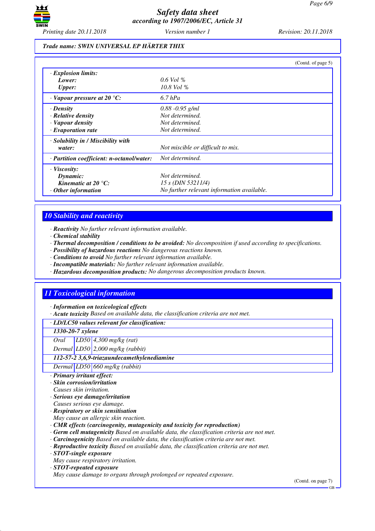

#### *Trade name: SWIN UNIVERSAL EP HÄRTER THIX*

|                                           | (Contd. of page 5)                         |
|-------------------------------------------|--------------------------------------------|
| · Explosion limits:                       |                                            |
| Lower:                                    | $0.6$ Vol %                                |
| <b>Upper:</b>                             | $10.8$ Vol $\%$                            |
| $\cdot$ Vapour pressure at 20 °C:         | $6.7$ hPa                                  |
| · Density                                 | $0.88 - 0.95$ g/ml                         |
| $\cdot$ Relative density                  | Not determined.                            |
| · Vapour density                          | Not determined.                            |
| $\cdot$ Evaporation rate                  | Not determined.                            |
| $\cdot$ Solubility in / Miscibility with  |                                            |
| water:                                    | Not miscible or difficult to mix.          |
| · Partition coefficient: n-octanol/water: | Not determined.                            |
| $\cdot$ Viscosity:                        |                                            |
| Dynamic:                                  | Not determined.                            |
| Kinematic at $20^{\circ}$ C:              | 15 s (DIN 53211/4)                         |
| $\cdot$ Other information                 | No further relevant information available. |

#### *10 Stability and reactivity*

*· Reactivity No further relevant information available.*

*· Chemical stability*

*· Thermal decomposition / conditions to be avoided: No decomposition if used according to specifications.*

- *· Possibility of hazardous reactions No dangerous reactions known.*
- *· Conditions to avoid No further relevant information available.*
- *· Incompatible materials: No further relevant information available.*
- *· Hazardous decomposition products: No dangerous decomposition products known.*

## *11 Toxicological information*

*· Information on toxicological effects*

*· Acute toxicity Based on available data, the classification criteria are not met.*

*· LD/LC50 values relevant for classification:*

## *1330-20-7 xylene*

*Oral LD50 4,300 mg/kg (rat)*

*Dermal LD50 2,000 mg/kg (rabbit)*

#### *112-57-2 3,6,9-triazaundecamethylenediamine*

*Dermal LD50 660 mg/kg (rabbit)*

- *· Primary irritant effect:*
- *· Skin corrosion/irritation*
- *Causes skin irritation.*
- *· Serious eye damage/irritation*
- *Causes serious eye damage.*
- *· Respiratory or skin sensitisation May cause an allergic skin reaction.*
- *· CMR effects (carcinogenity, mutagenicity and toxicity for reproduction)*
- *· Germ cell mutagenicity Based on available data, the classification criteria are not met.*
- *· Carcinogenicity Based on available data, the classification criteria are not met.*
- *· Reproductive toxicity Based on available data, the classification criteria are not met.*

*· STOT-single exposure*

*May cause respiratory irritation.*

*· STOT-repeated exposure*

*May cause damage to organs through prolonged or repeated exposure.*

(Contd. on page 7)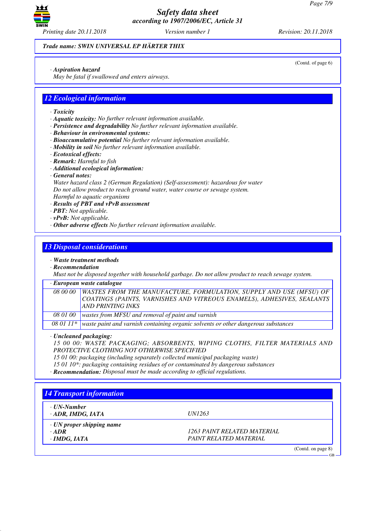

*Trade name: SWIN UNIVERSAL EP HÄRTER THIX*

*· Aspiration hazard*

*May be fatal if swallowed and enters airways.*

## *12 Ecological information*

- *· Toxicity*
- *· Aquatic toxicity: No further relevant information available.*
- *· Persistence and degradability No further relevant information available.*
- *· Behaviour in environmental systems:*
- *· Bioaccumulative potential No further relevant information available.*
- *· Mobility in soil No further relevant information available.*
- *· Ecotoxical effects:*
- *· Remark: Harmful to fish*
- *· Additional ecological information:*
- *· General notes:*

*Water hazard class 2 (German Regulation) (Self-assessment): hazardous for water Do not allow product to reach ground water, water course or sewage system. Harmful to aquatic organisms*

- *· Results of PBT and vPvB assessment*
- *· PBT: Not applicable.*
- *· vPvB: Not applicable.*
- *· Other adverse effects No further relevant information available.*

## *13 Disposal considerations*

#### *· Waste treatment methods*

*· Recommendation*

*Must not be disposed together with household garbage. Do not allow product to reach sewage system.*

#### *· European waste catalogue*

*08 00 00 WASTES FROM THE MANUFACTURE, FORMULATION, SUPPLY AND USE (MFSU) OF COATINGS (PAINTS, VARNISHES AND VITREOUS ENAMELS), ADHESIVES, SEALANTS AND PRINTING INKS 08 01 00 wastes from MFSU and removal of paint and varnish*

*08 01 11\* waste paint and varnish containing organic solvents or other dangerous substances*

*· Uncleaned packaging:*

*15 00 00: WASTE PACKAGING; ABSORBENTS, WIPING CLOTHS, FILTER MATERIALS AND PROTECTIVE CLOTHING NOT OTHERWISE SPECIFIED*

- *15 01 00: packaging (including separately collected municipal packaging waste)*
- *15 01 10\*: packaging containing residues of or contaminated by dangerous substances*
- *· Recommendation: Disposal must be made according to official regulations.*

# *14 Transport information · UN-Number · ADR, IMDG, IATA UN1263 · UN proper shipping name · ADR 1263 PAINT RELATED MATERIAL · IMDG, IATA PAINT RELATED MATERIAL* (Contd. on page 8) GB

(Contd. of page 6)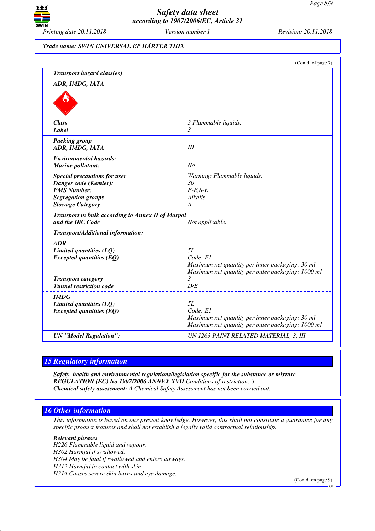

# *Trade name: SWIN UNIVERSAL EP HÄRTER THIX*

|                                                                         | (Contd. of page 7)                                                                                   |
|-------------------------------------------------------------------------|------------------------------------------------------------------------------------------------------|
| · Transport hazard class(es)                                            |                                                                                                      |
| · ADR, IMDG, IATA                                                       |                                                                                                      |
|                                                                         |                                                                                                      |
| $\cdot$ Class                                                           | 3 Flammable liquids.                                                                                 |
| · Label                                                                 | 3                                                                                                    |
| · Packing group<br>· ADR, IMDG, IATA                                    | III                                                                                                  |
| · Environmental hazards:<br>· Marine pollutant:                         | N <sub>o</sub>                                                                                       |
| · Special precautions for user                                          | Warning: Flammable liquids.                                                                          |
| · Danger code (Kemler):                                                 | 30                                                                                                   |
| · EMS Number:                                                           | $F-E,S-E$<br>Alkalis                                                                                 |
| · Segregation groups<br>· Stowage Category                              | A                                                                                                    |
| · Transport in bulk according to Annex II of Marpol<br>and the IBC Code | Not applicable.                                                                                      |
| · Transport/Additional information:                                     |                                                                                                      |
| $\cdot$ ADR                                                             |                                                                                                      |
| $\cdot$ Limited quantities (LQ)                                         | 5L                                                                                                   |
| $\cdot$ Excepted quantities (EQ)                                        | Code: El                                                                                             |
|                                                                         | Maximum net quantity per inner packaging: 30 ml                                                      |
| · Transport category                                                    | Maximum net quantity per outer packaging: 1000 ml<br>3                                               |
| · Tunnel restriction code                                               | D/E                                                                                                  |
| $\cdot$ IMDG                                                            |                                                                                                      |
| $\cdot$ Limited quantities (LQ)                                         | 5L                                                                                                   |
| $\cdot$ Excepted quantities (EQ)                                        | Code: E1                                                                                             |
|                                                                         | Maximum net quantity per inner packaging: 30 ml<br>Maximum net quantity per outer packaging: 1000 ml |
| · UN "Model Regulation":                                                | UN 1263 PAINT RELATED MATERIAL, 3, III                                                               |
|                                                                         |                                                                                                      |

# *15 Regulatory information*

*· Safety, health and environmental regulations/legislation specific for the substance or mixture*

*· REGULATION (EC) No 1907/2006 ANNEX XVII Conditions of restriction: 3*

*· Chemical safety assessment: A Chemical Safety Assessment has not been carried out.*

## *16 Other information*

*This information is based on our present knowledge. However, this shall not constitute a guarantee for any specific product features and shall not establish a legally valid contractual relationship.*

*· Relevant phrases*

*H226 Flammable liquid and vapour.*

*H302 Harmful if swallowed.*

*H304 May be fatal if swallowed and enters airways.*

*H312 Harmful in contact with skin.*

*H314 Causes severe skin burns and eye damage.*

(Contd. on page 9)

GB